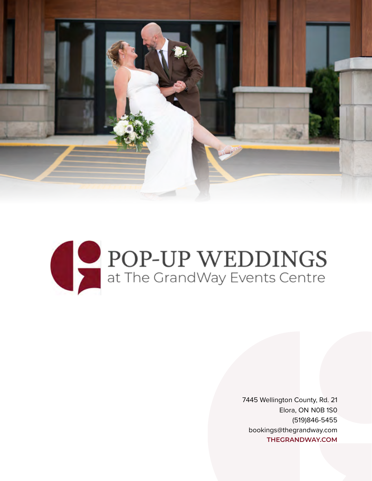



7445 Wellington County, Rd. 21 Elora, ON N0B 1S0 (519)846-5455 [bookings@thegrandway.com](mailto:bookings%40thegrandway.com?subject=Pop-Up%20Wedding%20Inquiry) **[THEGRANDWAY.COM](https://thegrandway.com/)**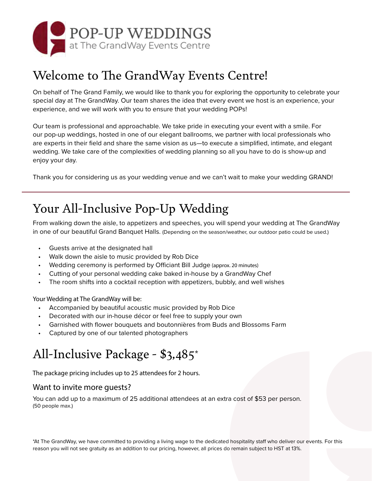

## Welcome to The GrandWay Events Centre!

On behalf of The Grand Family, we would like to thank you for exploring the opportunity to celebrate your special day at The GrandWay. Our team shares the idea that every event we host is an experience, your experience, and we will work with you to ensure that your wedding POPs!

Our team is professional and approachable. We take pride in executing your event with a smile. For our pop-up weddings, hosted in one of our elegant ballrooms, we partner with local professionals who are experts in their field and share the same vision as us—to execute a simplified, intimate, and elegant wedding. We take care of the complexities of wedding planning so all you have to do is show-up and enjoy your day.

Thank you for considering us as your wedding venue and we can't wait to make your wedding GRAND!

# Your All-Inclusive Pop-Up Wedding

From walking down the aisle, to appetizers and speeches, you will spend your wedding at The GrandWay in one of our beautiful Grand Banquet Halls. (Depending on the season/weather, our outdoor patio could be used.)

- Guests arrive at the designated hall
- Walk down the aisle to music provided by Rob Dice
- Wedding ceremony is performed by Officiant Bill Judge (approx. 20 minutes)
- Cutting of your personal wedding cake baked in-house by a GrandWay Chef
- The room shifts into a cocktail reception with appetizers, bubbly, and well wishes

Your Wedding at The GrandWay will be:

- Accompanied by beautiful acoustic music provided by Rob Dice
- Decorated with our in-house décor or feel free to supply your own
- Garnished with flower bouquets and boutonnières from Buds and Blossoms Farm
- Captured by one of our talented photographers

# All-Inclusive Package - \$3,485\*

The package pricing includes up to 25 attendees for 2 hours.

#### Want to invite more guests?

You can add up to a maximum of 25 additional attendees at an extra cost of \$53 per person. (50 people max.)

\*At The GrandWay, we have committed to providing a living wage to the dedicated hospitality staff who deliver our events. For this reason you will not see gratuity as an addition to our pricing, however, all prices do remain subject to HST at 13%.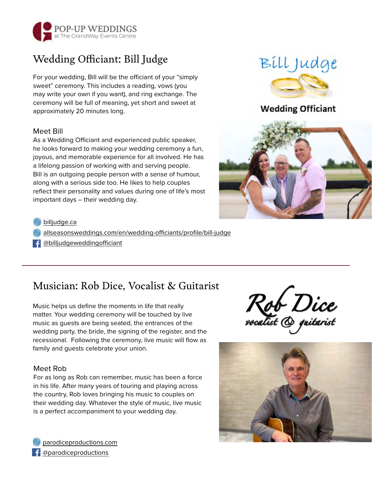

### Wedding Officiant: Bill Judge

For your wedding, Bill will be the officiant of your "simply sweet" ceremony. This includes a reading, vows (you may write your own if you want), and ring exchange. The ceremony will be full of meaning, yet short and sweet at approximately 20 minutes long.

#### Meet Bill

As a Wedding Officiant and experienced public speaker, he looks forward to making your wedding ceremony a fun, joyous, and memorable experience for all involved. He has a lifelong passion of working with and serving people. Bill is an outgoing people person with a sense of humour, along with a serious side too. He likes to help couples reflect their personality and values during one of life's most important days – their wedding day.





#### [billjudge.ca](http://www.billjudge.ca/)

[allseasonsweddings.com/en/wedding-officiants/profile/bill-judge](https://allseasonsweddings.com/en/wedding-officiants/profile/bill-judge)

[@billjudgeweddingofficiant](https://www.facebook.com/billjudgeweddingofficiant)

### Musician: Rob Dice, Vocalist & Guitarist

Music helps us define the moments in life that really matter. Your wedding ceremony will be touched by live music as guests are being seated, the entrances of the wedding party, the bride, the signing of the register, and the recessional. Following the ceremony, live music will flow as family and guests celebrate your union.

#### Meet Rob

For as long as Rob can remember, music has been a force in his life. After many years of touring and playing across the country, Rob loves bringing his music to couples on their wedding day. Whatever the style of music, live music is a perfect accompaniment to your wedding day.





[parodiceproductions.com](https://www.parodiceproductions.com/) f [@parodiceproductions](https://www.facebook.com/parodiceproductions)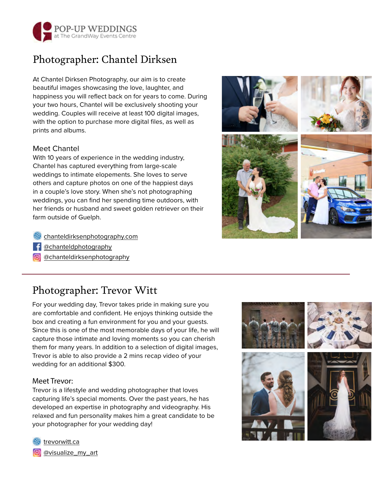

### Photographer: Chantel Dirksen

At Chantel Dirksen Photography, our aim is to create beautiful images showcasing the love, laughter, and happiness you will reflect back on for years to come. During your two hours, Chantel will be exclusively shooting your wedding. Couples will receive at least 100 digital images, with the option to purchase more digital files, as well as prints and albums.

#### Meet Chantel

With 10 years of experience in the wedding industry, Chantel has captured everything from large-scale weddings to intimate elopements. She loves to serve others and capture photos on one of the happiest days in a couple's love story. When she's not photographing weddings, you can find her spending time outdoors, with her friends or husband and sweet golden retriever on their farm outside of Guelph.



- f @[chanteldphotography](https://www.facebook.com/chanteldphotography)
- **o** @[chanteldirksenphotography](https://www.instagram.com/chanteldirksenphotography/)

### Photographer: Trevor Witt

For your wedding day, Trevor takes pride in making sure you are comfortable and confident. He enjoys thinking outside the box and creating a fun environment for you and your guests. Since this is one of the most memorable days of your life, he will capture those intimate and loving moments so you can cherish them for many years. In addition to a selection of digital images, Trevor is able to also provide a 2 mins recap video of your wedding for an additional \$300.

#### Meet Trevor:

Trevor is a lifestyle and wedding photographer that loves capturing life's special moments. Over the past years, he has developed an expertise in photography and videography. His relaxed and fun personality makes him a great candidate to be your photographer for your wedding day!





[trevorwitt.ca](https://trevorwitt.ca/)

**o** [@visualize\\_my\\_art](https://www.instagram.com/visualize_my_art/)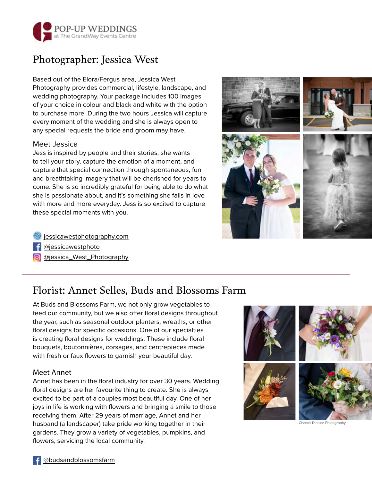

### Photographer: Jessica West

#### Based out of the Elora/Fergus area, Jessica West Photography provides commercial, lifestyle, landscape, and wedding photography. Your package includes 100 images of your choice in colour and black and white with the option to purchase more. During the two hours Jessica will capture every moment of the wedding and she is always open to any special requests the bride and groom may have.

#### Meet Jessica

Jess is inspired by people and their stories, she wants to tell your story, capture the emotion of a moment, and capture that special connection through spontaneous, fun and breathtaking imagery that will be cherished for years to come. She is so incredibly grateful for being able to do what she is passionate about, and it's something she falls in love with more and more everyday. Jess is so excited to capture these special moments with you.



[jessicawestphotography.com](http://jessicawestphotography.com)

- [@jessicawestphoto](https://www.facebook.com/jessicawestphoto)
- **o** [@jessica\\_West\\_Photography](https://www.instagram.com/jessica_west_photography/)

### Florist: Annet Selles, Buds and Blossoms Farm

At Buds and Blossoms Farm, we not only grow vegetables to feed our community, but we also offer floral designs throughout the year, such as seasonal outdoor planters, wreaths, or other floral designs for specific occasions. One of our specialties is creating floral designs for weddings. These include floral bouquets, boutonnières, corsages, and centrepieces made with fresh or faux flowers to garnish your beautiful day.

#### Meet Annet

Annet has been in the floral industry for over 30 years. Wedding floral designs are her favourite thing to create. She is always excited to be part of a couples most beautiful day. One of her joys in life is working with flowers and bringing a smile to those receiving them. After 29 years of marriage, Annet and her husband (a landscaper) take pride working together in their gardens. They grow a variety of vegetables, pumpkins, and flowers, servicing the local community.



Chantel Dirksen Photography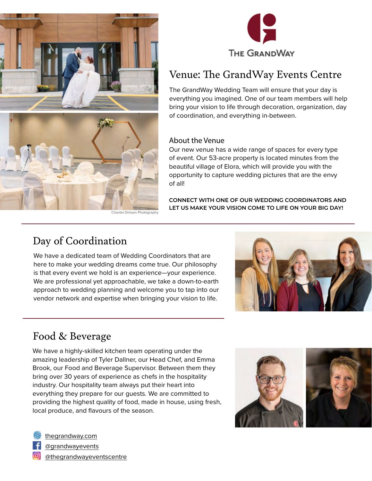



### Venue: The GrandWay Events Centre

The GrandWay Wedding Team will ensure that your day is everything you imagined. One of our team members will help bring your vision to life through decoration, organization, day of coordination, and everything in-between.

#### About the Venue

Our new venue has a wide range of spaces for every type of event. Our 53-acre property is located minutes from the beautiful village of Elora, which will provide you with the opportunity to capture wedding pictures that are the envy of all!

**CONNECT WITH ONE OF OUR WEDDING COORDINATORS AND LET US MAKE YOUR VISION COME TO LIFE ON YOUR BIG DAY!** 

### Day of Coordination

We have a dedicated team of Wedding Coordinators that are here to make your wedding dreams come true. Our philosophy is that every event we hold is an experience—your experience. We are professional yet approachable, we take a down-to-earth approach to wedding planning and welcome you to tap into our vendor network and expertise when bringing your vision to life.



### Food & Beverage

We have a highly-skilled kitchen team operating under the amazing leadership of Tyler Dallner, our Head Chef, and Emma Brook, our Food and Beverage Supervisor. Between them they bring over 30 years of experience as chefs in the hospitality industry. Our hospitality team always put their heart into everything they prepare for our guests. We are committed to providing the highest quality of food, made in house, using fresh, local produce, and flavours of the season.





[@grandwayevents](https://www.facebook.com/grandwayevents)

[@thegrandwayeventscentre](https://www.instagram.com/thegrandwayeventscentre/)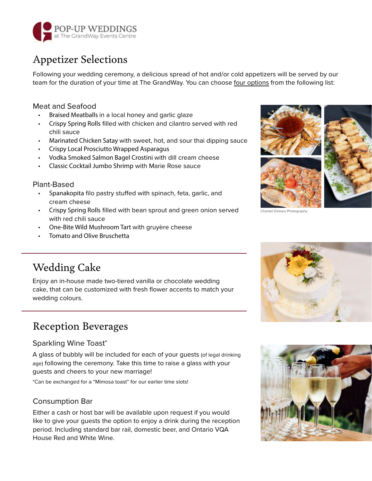

### Appetizer Selections

Following your wedding ceremony, a delicious spread of hot and/or cold appetizers will be served by our team for the duration of your time at The GrandWay. You can choose four options from the following list:

#### Meat and Seafood

- Braised Meatballs in a local honey and garlic glaze
- Crispy Spring Rolls filled with chicken and cilantro served with red chili sauce
- Marinated Chicken Satay with sweet, hot, and sour thai dipping sauce
- Crispy Local Prosciutto Wrapped Asparagus
- Vodka Smoked Salmon Bagel Crostini with dill cream cheese
- Classic Cocktail Jumbo Shrimp with Marie Rose sauce

#### Plant-Based

- Spanakopita filo pastry stuffed with spinach, feta, garlic, and cream cheese
- Crispy Spring Rolls filled with bean sprout and green onion served with red chili sauce
- One-Bite Wild Mushroom Tart with gruyère cheese
- Tomato and Olive Bruschetta



Chantel Dirksen Photography

### Wedding Cake

Enjoy an in-house made two-tiered vanilla or chocolate wedding cake, that can be customized with fresh flower accents to match your wedding colours.

### Reception Beverages

#### Sparkling Wine Toast\*

A glass of bubbly will be included for each of your guests (of legal drinking age) following the ceremony. Take this time to raise a glass with your guests and cheers to your new marriage!

\*Can be exchanged for a "Mimosa toast" for our earlier time slots!

#### Consumption Bar

Either a cash or host bar will be available upon request if you would like to give your guests the option to enjoy a drink during the reception period. Including standard bar rail, domestic beer, and Ontario VQA House Red and White Wine.



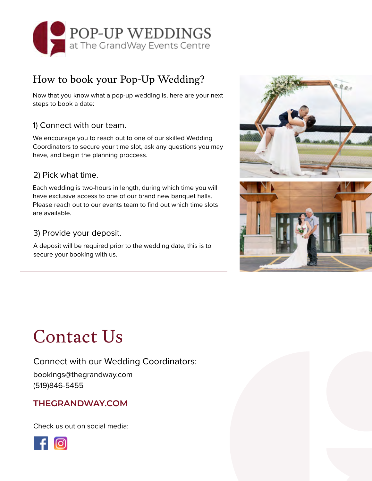

### How to book your Pop-Up Wedding?

Now that you know what a pop-up wedding is, here are your next steps to book a date:

#### 1) Connect with our team.

We encourage you to reach out to one of our skilled Wedding Coordinators to secure your time slot, ask any questions you may have, and begin the planning proccess.

#### 2) Pick what time.

Each wedding is two-hours in length, during which time you will have exclusive access to one of our brand new banquet halls. Please reach out to our events team to find out which time slots are available.

#### 3) Provide your deposit.

A deposit will be required prior to the wedding date, this is to secure your booking with us.



# Contact Us

Connect with our Wedding Coordinators: [bookings@thegrandway.com](mailto:bookings%40thegrandway.com?subject=Pop-Up%20Wedding%20Inquiry) (519)846-5455

#### **[THEGRANDWAY.COM](https://thegrandway.com/)**

Check us out on social media: